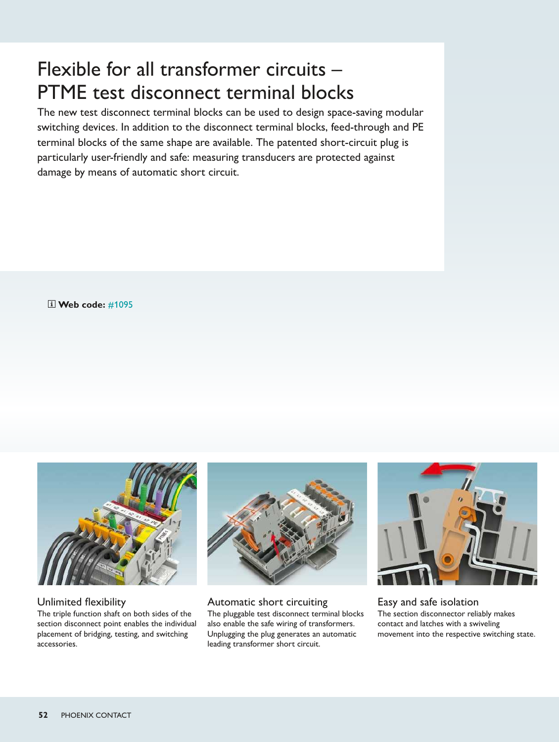# Flexible for all transformer circuits – PTME test disconnect terminal blocks

The new test disconnect terminal blocks can be used to design space-saving modular switching devices. In addition to the disconnect terminal blocks, feed-through and PE terminal blocks of the same shape are available. The patented short-circuit plug is particularly user-friendly and safe: measuring transducers are protected against damage by means of automatic short circuit.

 **[Web code:](http://www.phoenixcontact.net/webcode/#1095)** #1095



Unlimited flexibility The triple function shaft on both sides of the section disconnect point enables the individual placement of bridging, testing, and switching accessories.



Automatic short circuiting The pluggable test disconnect terminal blocks also enable the safe wiring of transformers. Unplugging the plug generates an automatic leading transformer short circuit.



Easy and safe isolation The section disconnector reliably makes contact and latches with a swiveling movement into the respective switching state.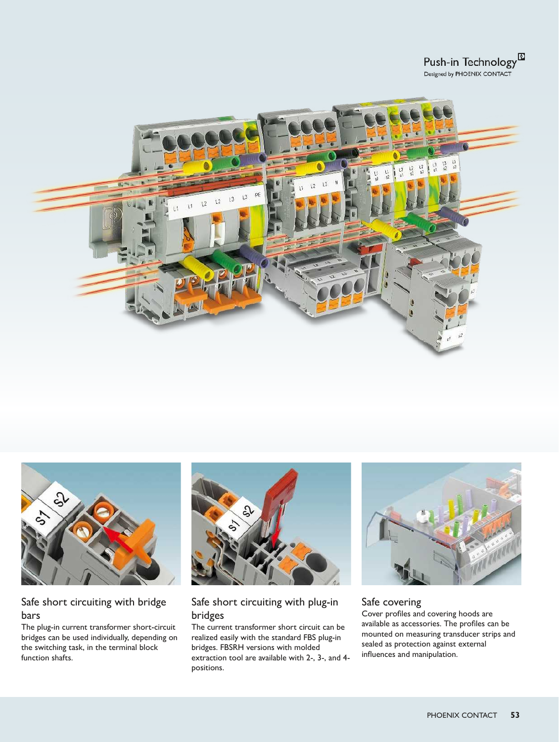





## Safe short circuiting with bridge bars

The plug-in current transformer short-circuit bridges can be used individually, depending on the switching task, in the terminal block function shafts.



# Safe short circuiting with plug-in bridges

The current transformer short circuit can be realized easily with the standard FBS plug-in bridges. FBSRH versions with molded extraction tool are available with 2-, 3-, and 4 positions.



#### Safe covering

Cover profiles and covering hoods are available as accessories. The profiles can be mounted on measuring transducer strips and sealed as protection against external influences and manipulation.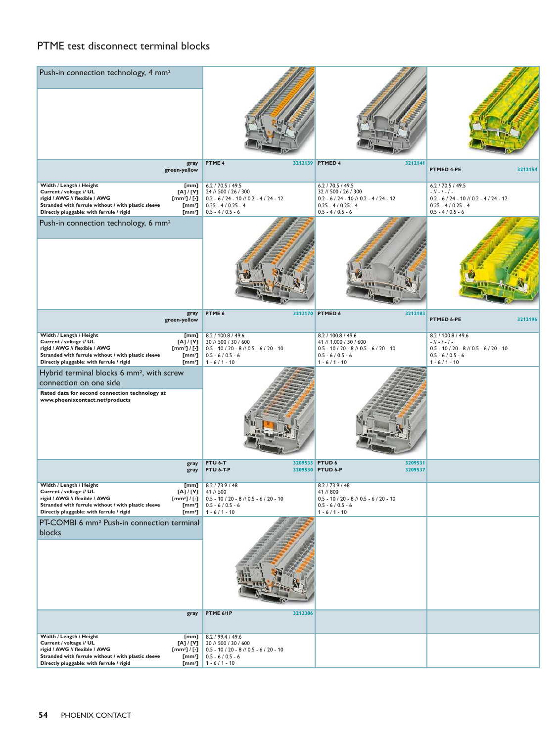## PTME test disconnect terminal blocks

| Push-in connection technology, 4 mm <sup>2</sup>                                                                                                                                                                                  |                                                |                                                                                                                                      |                                                                                                                                      |                                                                                                                                 |         |
|-----------------------------------------------------------------------------------------------------------------------------------------------------------------------------------------------------------------------------------|------------------------------------------------|--------------------------------------------------------------------------------------------------------------------------------------|--------------------------------------------------------------------------------------------------------------------------------------|---------------------------------------------------------------------------------------------------------------------------------|---------|
|                                                                                                                                                                                                                                   |                                                |                                                                                                                                      |                                                                                                                                      |                                                                                                                                 |         |
| green-yellow                                                                                                                                                                                                                      | gray                                           | PTME 4                                                                                                                               | 3212139 PTMED 4<br>3212141                                                                                                           | PTMED 4-PE                                                                                                                      | 3212154 |
| Width / Length / Height<br>Current / voltage // UL<br>[A] / [V]<br>rigid / AWG // flexible / AWG<br>$[mm2] / [-]$<br>Stranded with ferrule without / with plastic sleeve<br>Directly pluggable: with ferrule / rigid              | [mm]<br>$[mm^2]$<br>$[mm^2]$                   | 6.2 / 70.5 / 49.5<br>24 // 500 / 26 / 300<br>$0.2 - 6 / 24 - 10 / 0.2 - 4 / 24 - 12$<br>$0.25 - 4 / 0.25 - 4$<br>$0.5 - 4 / 0.5 - 6$ | 6.2 / 70.5 / 49.5<br>32 // 500 / 26 / 300<br>$0.2 - 6 / 24 - 10 / 0.2 - 4 / 24 - 12$<br>$0.25 - 4 / 0.25 - 4$<br>$0.5 - 4 / 0.5 - 6$ | 6.2 / 70.5 / 49.5<br>$-11 - 1 - 1 -$<br>$0.2 - 6 / 24 - 10 / 0.2 - 4 / 24 - 12$<br>$0.25 - 4 / 0.25 - 4$<br>$0.5 - 4 / 0.5 - 6$ |         |
| Push-in connection technology, 6 mm <sup>2</sup>                                                                                                                                                                                  |                                                |                                                                                                                                      |                                                                                                                                      |                                                                                                                                 |         |
| green-yellow                                                                                                                                                                                                                      | gray                                           | PTME 6                                                                                                                               | 3212170 PTMED 6<br>3212183                                                                                                           | PTMED 6-PE                                                                                                                      | 3212196 |
| Width / Length / Height<br>Current / voltage // UL<br>[N] / [V]<br>rigid / AWG // flexible / AWG<br>[mm <sup>2</sup> ] $/$ [-]<br>Stranded with ferrule without / with plastic sleeve<br>Directly pluggable: with ferrule / rigid | [mm]<br>$[mm^2]$<br>[mm <sup>2</sup> ]         | 8.2 / 100.8 / 49.6<br>30 // 500 / 30 / 600<br>$0.5 - 10 / 20 - 8 / 0.5 - 6 / 20 - 10$<br>$0.5 - 6 / 0.5 - 6$<br>$1 - 6 / 1 - 10$     | 8.2 / 100.8 / 49.6<br>41 // 1,000 / 30 / 600<br>$0.5 - 10 / 20 - 8 / 0.5 - 6 / 20 - 10$<br>$0.5 - 6 / 0.5 - 6$<br>$1 - 6 / 1 - 10$   | 8.2 / 100.8 / 49.6<br>$-11 - 1 - 1 -$<br>$0.5 - 10 / 20 - 8 / 0.5 - 6 / 20 - 10$<br>$0.5 - 6 / 0.5 - 6$<br>$1 - 6 / 1 - 10$     |         |
| Hybrid terminal blocks 6 mm <sup>2</sup> , with screw<br>connection on one side                                                                                                                                                   |                                                |                                                                                                                                      |                                                                                                                                      |                                                                                                                                 |         |
| Rated data for second connection technology at<br>www.phoenixcontact.net/products                                                                                                                                                 |                                                |                                                                                                                                      |                                                                                                                                      |                                                                                                                                 |         |
|                                                                                                                                                                                                                                   | gray<br>gray                                   | PTU 6-T<br>PTU 6-T-P                                                                                                                 | 3209535 PTUD 6<br>3209531<br>3209530 PTUD 6-P<br>3209537                                                                             |                                                                                                                                 |         |
| Width / Length / Heıgnt<br>Current / voltage // UL<br>[A] / [V]<br>rigid / AWG // flexible / AWG<br>$[mm2] / [-]$<br>Stranded with ferrule without / with plastic sleeve<br>Directly pluggable: with ferrule / rigid              | լաայ<br>[mm <sup>2</sup> ]<br>$[mm^2]$         | 8.2 / 73.9 / 48<br>41 // 500<br>$0.5 - 10 / 20 - 8 / 0.5 - 6 / 20 - 10$<br>$0.5 - 6 / 0.5 - 6$<br>$1 - 6 / 1 - 10$                   | 8.2 / 73.9 / 48<br>41 // 800<br>$0.5 - 10 / 20 - 8 / 0.5 - 6 / 20 - 10$<br>$0.5 - 6 / 0.5 - 6$<br>$1 - 6 / 1 - 10$                   |                                                                                                                                 |         |
| PT-COMBI 6 mm <sup>2</sup> Push-in connection terminal<br>blocks                                                                                                                                                                  |                                                |                                                                                                                                      |                                                                                                                                      |                                                                                                                                 |         |
|                                                                                                                                                                                                                                   | gray                                           | PTME 6/1P<br>3212306                                                                                                                 |                                                                                                                                      |                                                                                                                                 |         |
| Width / Length / Height<br>Current / voltage // UL<br>[A] / [V]<br>rigid / AWG // flexible / AWG<br>[mm <sup>2</sup> ] $/$ [-]<br>Stranded with ferrule without / with plastic sleeve<br>Directly pluggable: with ferrule / rigid | [mm]<br>$[mm^2]$<br>$\left[\text{mm}^2\right]$ | 8.2 / 99.4 / 49.6<br>30 // 500 / 30 / 600<br>$0.5 - 10 / 20 - 8 / 0.5 - 6 / 20 - 10$<br>$0.5 - 6 / 0.5 - 6$<br>$1 - 6 / 1 - 10$      |                                                                                                                                      |                                                                                                                                 |         |